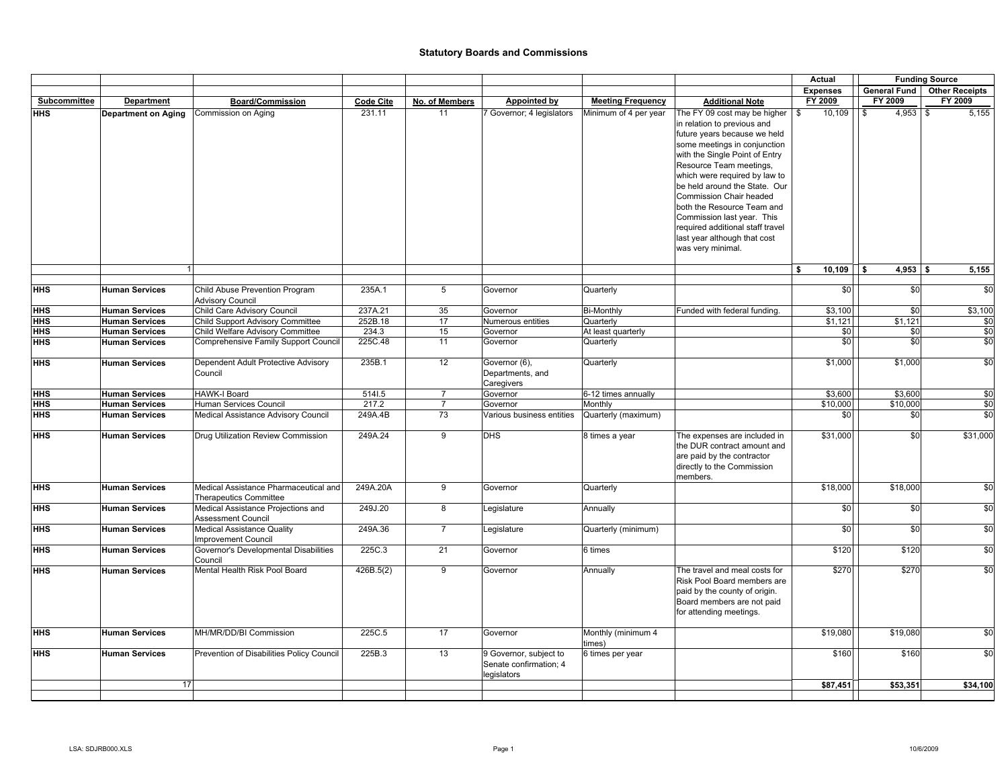|              |                            |                                           |                  |                |                           |                          |                                                              | Actual            | <b>Funding Source</b> |                               |
|--------------|----------------------------|-------------------------------------------|------------------|----------------|---------------------------|--------------------------|--------------------------------------------------------------|-------------------|-----------------------|-------------------------------|
|              |                            |                                           |                  |                |                           |                          |                                                              | <b>Expenses</b>   |                       | General Fund   Other Receipts |
| Subcommittee | <b>Department</b>          | <b>Board/Commission</b>                   | <b>Code Cite</b> | No. of Members | Appointed by              | <b>Meeting Frequency</b> | <b>Additional Note</b>                                       | FY 2009           | FY 2009               | FY 2009                       |
| <b>HHS</b>   | <b>Department on Aging</b> | Commission on Aging                       | 231.11           | 11             | 7 Governor; 4 legislators | Minimum of 4 per year    | The FY 09 cost may be higher<br>in relation to previous and  | 10,109<br>\$      | $4,953$ \$<br>\$      | 5,155                         |
|              |                            |                                           |                  |                |                           |                          | future years because we held                                 |                   |                       |                               |
|              |                            |                                           |                  |                |                           |                          | some meetings in conjunction                                 |                   |                       |                               |
|              |                            |                                           |                  |                |                           |                          | with the Single Point of Entry                               |                   |                       |                               |
|              |                            |                                           |                  |                |                           |                          | Resource Team meetings,                                      |                   |                       |                               |
|              |                            |                                           |                  |                |                           |                          | which were required by law to                                |                   |                       |                               |
|              |                            |                                           |                  |                |                           |                          | be held around the State. Our                                |                   |                       |                               |
|              |                            |                                           |                  |                |                           |                          | <b>Commission Chair headed</b>                               |                   |                       |                               |
|              |                            |                                           |                  |                |                           |                          | both the Resource Team and                                   |                   |                       |                               |
|              |                            |                                           |                  |                |                           |                          | Commission last year. This                                   |                   |                       |                               |
|              |                            |                                           |                  |                |                           |                          | required additional staff travel                             |                   |                       |                               |
|              |                            |                                           |                  |                |                           |                          |                                                              |                   |                       |                               |
|              |                            |                                           |                  |                |                           |                          | last year although that cost                                 |                   |                       |                               |
|              |                            |                                           |                  |                |                           |                          | was very minimal.                                            |                   |                       |                               |
|              | $\mathbf{1}$               |                                           |                  |                |                           |                          |                                                              | $10,109$ \$<br>\$ | $4,953$ \$            | 5,155                         |
| <b>HHS</b>   |                            | Child Abuse Prevention Program            | 235A.1           | 5              | Governor                  |                          |                                                              | \$0               | \$0                   | \$0                           |
|              | <b>Human Services</b>      | <b>Advisory Council</b>                   |                  |                |                           | Quarterly                |                                                              |                   |                       |                               |
| HHS          | <b>Human Services</b>      | Child Care Advisory Council               | 237A.21          | 35             | Governor                  | <b>Bi-Monthly</b>        | Funded with federal funding.                                 | \$3,100           | \$0                   | \$3,100                       |
| HHS          | <b>Human Services</b>      | Child Support Advisory Committee          | 252B.18          | 17             | Numerous entities         | Quarterly                |                                                              | \$1,121           | \$1,121               | \$0                           |
| HHS          | <b>Human Services</b>      | Child Welfare Advisory Committee          | 234.3            | 15             | Governor                  | At least quarterly       |                                                              | \$0               | \$0                   | \$0                           |
| HHS          | <b>Human Services</b>      | Comprehensive Family Support Council      | 225C.48          | 11             | Governor                  | Quarterly                |                                                              | \$0               | \$0                   | \$0                           |
| HHS          | <b>Human Services</b>      | Dependent Adult Protective Advisory       | 235B.1           | 12             | Governor (6),             | Quarterly                |                                                              | \$1,000           | \$1,000               | \$0                           |
|              |                            | Council                                   |                  |                | Departments, and          |                          |                                                              |                   |                       |                               |
|              |                            |                                           |                  |                | Caregivers                |                          |                                                              |                   |                       |                               |
| <b>HHS</b>   | <b>Human Services</b>      | <b>HAWK-I Board</b>                       | 5141.5           | $\overline{7}$ | Governor                  | 6-12 times annually      |                                                              | \$3,600           | \$3,600               | \$0                           |
| <b>HHS</b>   | <b>Human Services</b>      | Human Services Council                    | 217.2            | $\overline{7}$ | Governor                  | Monthly                  |                                                              | \$10,000          | \$10,000              | \$0                           |
| <b>HHS</b>   | <b>Human Services</b>      | Medical Assistance Advisory Council       | 249A.4B          | 73             | Various business entities | Quarterly (maximum)      |                                                              | \$0               | \$0                   | \$0                           |
| <b>HHS</b>   | <b>Human Services</b>      | Drug Utilization Review Commission        | 249A.24          | $\overline{9}$ | <b>DHS</b>                | 8 times a year           | The expenses are included in                                 | \$31,000          | \$0                   | \$31,000                      |
|              |                            |                                           |                  |                |                           |                          | the DUR contract amount and                                  |                   |                       |                               |
|              |                            |                                           |                  |                |                           |                          |                                                              |                   |                       |                               |
|              |                            |                                           |                  |                |                           |                          | are paid by the contractor                                   |                   |                       |                               |
|              |                            |                                           |                  |                |                           |                          | directly to the Commission<br>members.                       |                   |                       |                               |
| <b>HHS</b>   | <b>Human Services</b>      | Medical Assistance Pharmaceutical and     | 249A.20A         | 9              | Governor                  | Quarterly                |                                                              | \$18,000          | \$18,000              | \$0                           |
|              |                            | <b>Therapeutics Committee</b>             |                  |                |                           |                          |                                                              |                   |                       |                               |
| HHS          | <b>Human Services</b>      | Medical Assistance Projections and        | 249J.20          | 8              | Legislature               | Annually                 |                                                              | \$0               | \$0                   | \$0                           |
|              |                            | <b>Assessment Council</b>                 |                  |                |                           |                          |                                                              |                   |                       |                               |
| <b>HHS</b>   | <b>Human Services</b>      | <b>Medical Assistance Quality</b>         | 249A.36          | $\overline{7}$ | Legislature               | Quarterly (minimum)      |                                                              | \$0               | \$0                   | \$0                           |
|              |                            | <b>Improvement Council</b>                |                  |                |                           |                          |                                                              |                   |                       |                               |
| HHS          | <b>Human Services</b>      | Governor's Developmental Disabilities     | 225C.3           | 21             | Governor                  | 6 times                  |                                                              | \$120             | \$120                 | \$0                           |
| HHS          |                            | Council<br>Mental Health Risk Pool Board  |                  | 9              |                           |                          |                                                              | \$270             | \$270                 |                               |
|              | <b>Human Services</b>      |                                           | 426B.5(2)        |                | Governor                  | Annually                 | The travel and meal costs for<br>Risk Pool Board members are |                   |                       | \$0                           |
|              |                            |                                           |                  |                |                           |                          | paid by the county of origin.                                |                   |                       |                               |
|              |                            |                                           |                  |                |                           |                          |                                                              |                   |                       |                               |
|              |                            |                                           |                  |                |                           |                          | Board members are not paid                                   |                   |                       |                               |
|              |                            |                                           |                  |                |                           |                          | for attending meetings.                                      |                   |                       |                               |
| HHS          | <b>Human Services</b>      | MH/MR/DD/BI Commission                    | 225C.5           | 17             | Governor                  | Monthly (minimum 4       |                                                              | \$19,080          | \$19,080              | \$0                           |
|              |                            |                                           |                  |                |                           | times)                   |                                                              |                   |                       |                               |
| <b>HHS</b>   | <b>Human Services</b>      | Prevention of Disabilities Policy Council | 225B.3           | 13             | 9 Governor, subject to    | 6 times per year         |                                                              | \$160             | \$160                 | \$0                           |
|              |                            |                                           |                  |                | Senate confirmation; 4    |                          |                                                              |                   |                       |                               |
|              | 17                         |                                           |                  |                | legislators               |                          |                                                              |                   |                       |                               |
|              |                            |                                           |                  |                |                           |                          |                                                              | \$87,451          | \$53,351              | \$34,100                      |
|              |                            |                                           |                  |                |                           |                          |                                                              |                   |                       |                               |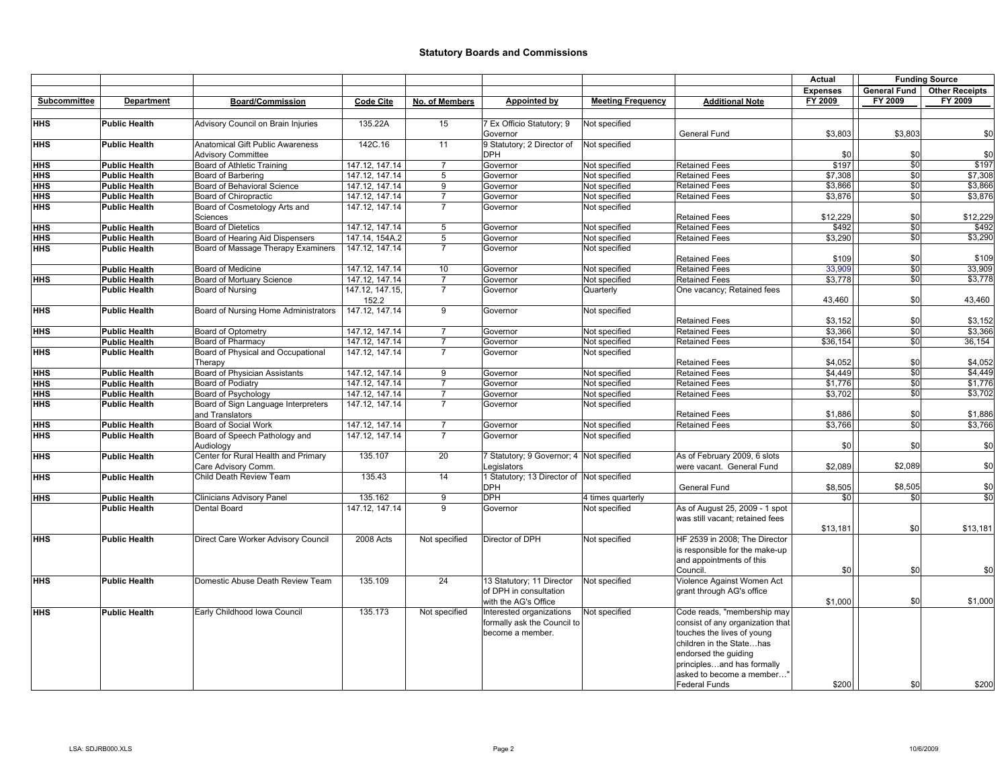|              |                      |                                      |                  |                |                                           |                          |                                  | Actual          | <b>Funding Source</b> |                       |
|--------------|----------------------|--------------------------------------|------------------|----------------|-------------------------------------------|--------------------------|----------------------------------|-----------------|-----------------------|-----------------------|
|              |                      |                                      |                  |                |                                           |                          |                                  | <b>Expenses</b> | General Fund          | <b>Other Receipts</b> |
| Subcommittee | Department           | <b>Board/Commission</b>              | <b>Code Cite</b> | No. of Members | <b>Appointed by</b>                       | <b>Meeting Frequency</b> | <b>Additional Note</b>           | FY 2009         | FY 2009               | FY 2009               |
|              |                      |                                      |                  |                |                                           |                          |                                  |                 |                       |                       |
| HHS          | <b>Public Health</b> | Advisory Council on Brain Injuries   | 135.22A          | 15             | 7 Ex Officio Statutory; 9                 | Not specified            |                                  |                 |                       |                       |
|              |                      |                                      |                  |                | Governor                                  |                          | General Fund                     | \$3,803         | \$3,803               | \$0                   |
| HHS          | <b>Public Health</b> | Anatomical Gift Public Awareness     | 142C.16          | 11             | 9 Statutory; 2 Director of                | Not specified            |                                  |                 |                       |                       |
|              |                      | <b>Advisory Committee</b>            |                  |                | <b>DPH</b>                                |                          |                                  | \$0             | \$0                   | \$0                   |
| HHS          | <b>Public Health</b> | Board of Athletic Training           | 147.12, 147.14   | $\overline{7}$ | Governor                                  | Not specified            | <b>Retained Fees</b>             | \$197           | \$0                   | \$197                 |
| HHS          | <b>Public Health</b> | Board of Barbering                   | 147.12, 147.14   | 5              | Governor                                  | Not specified            | <b>Retained Fees</b>             | \$7,308         | \$0                   | \$7,308               |
| HHS          | <b>Public Health</b> | Board of Behavioral Science          | 147.12, 147.14   | 9              | Governor                                  | Not specified            | <b>Retained Fees</b>             | \$3,866         | \$0                   | \$3,866               |
| HHS          | <b>Public Health</b> | Board of Chiropractic                | 147.12.147.14    | $\overline{7}$ | Governor                                  | Not specified            | <b>Retained Fees</b>             | \$3,876         | \$0                   | \$3,876               |
| HHS          | <b>Public Health</b> | Board of Cosmetology Arts and        | 147.12, 147.14   | $\overline{7}$ | Governor                                  | Not specified            |                                  |                 |                       |                       |
|              |                      | Sciences                             |                  |                |                                           |                          | <b>Retained Fees</b>             | \$12,229        | \$0                   | \$12,229              |
| HHS          | <b>Public Health</b> | <b>Board of Dietetics</b>            | 147.12, 147.14   | 5              | Governor                                  | Not specified            | <b>Retained Fees</b>             | \$492           | \$0                   | \$492                 |
| HHS          | <b>Public Health</b> | Board of Hearing Aid Dispensers      | 147.14, 154A.2   | 5              | Governor                                  | Not specified            | <b>Retained Fees</b>             | \$3,290         | \$0                   | \$3,290               |
| HHS          | <b>Public Health</b> | Board of Massage Therapy Examiners   | 147.12, 147.14   | $\overline{7}$ | Governor                                  | Not specified            |                                  |                 |                       |                       |
|              |                      |                                      |                  |                |                                           |                          | <b>Retained Fees</b>             | \$109           | \$0                   | \$109                 |
|              | <b>Public Health</b> | Board of Medicine                    | 147.12, 147.14   | 10             | Governor                                  | Not specified            | <b>Retained Fees</b>             | 33,909          | \$0                   | 33,909                |
| HHS          | <b>Public Health</b> | Board of Mortuary Science            | 147.12, 147.14   | $\overline{7}$ | Governor                                  | Not specified            | <b>Retained Fees</b>             | \$3,778         | \$0                   | \$3,778               |
|              | <b>Public Health</b> | Board of Nursing                     | 147.12, 147.15,  | $\overline{7}$ | Governor                                  | Quarterly                | One vacancy; Retained fees       |                 |                       |                       |
|              |                      |                                      | 152.2            |                |                                           |                          |                                  | 43,460          | \$0                   | 43,460                |
| HHS          | <b>Public Health</b> | Board of Nursing Home Administrators | 147.12, 147.14   | 9              | Governor                                  | Not specified            |                                  |                 |                       |                       |
|              |                      |                                      |                  |                |                                           |                          | <b>Retained Fees</b>             | \$3,152         | \$0                   | \$3,152               |
| HHS          | <b>Public Health</b> | Board of Optometry                   | 147.12, 147.14   | $\overline{7}$ | Governor                                  | Not specified            | <b>Retained Fees</b>             | \$3,366         | \$0                   | \$3,366               |
|              |                      | Board of Pharmacy                    | 147.12, 147.14   | $\overline{7}$ | Governor                                  | Not specified            | <b>Retained Fees</b>             | \$36,154        | \$0                   | 36,154                |
| HHS          | <b>Public Health</b> |                                      |                  | $\overline{7}$ |                                           |                          |                                  |                 |                       |                       |
|              | <b>Public Health</b> | Board of Physical and Occupational   | 147.12, 147.14   |                | Governor                                  | Not specified            | <b>Retained Fees</b>             | \$4,052         | \$0                   |                       |
|              |                      | Therapy                              |                  |                |                                           |                          |                                  |                 |                       | \$4,052               |
| HHS          | <b>Public Health</b> | Board of Physician Assistants        | 147.12, 147.14   | 9              | Governor                                  | Not specified            | <b>Retained Fees</b>             | \$4,449         | \$0                   | \$4,449               |
| HHS          | <b>Public Health</b> | Board of Podiatry                    | 147.12, 147.14   | $\overline{7}$ | Governor                                  | Not specified            | <b>Retained Fees</b>             | \$1,776         | \$0                   | \$1,776               |
| HHS          | <b>Public Health</b> | Board of Psychology                  | 147.12, 147.14   | $\overline{7}$ | Governor                                  | Not specified            | <b>Retained Fees</b>             | \$3,702         | \$0                   | \$3,702               |
| HHS          | <b>Public Health</b> | Board of Sign Language Interpreters  | 147.12, 147.14   | $\overline{7}$ | Governor                                  | Not specified            |                                  |                 |                       |                       |
|              |                      | and Translators                      |                  |                |                                           |                          | <b>Retained Fees</b>             | \$1,886         | \$0                   | \$1,886               |
| HHS          | <b>Public Health</b> | Board of Social Work                 | 147.12, 147.14   | $\overline{7}$ | Governor                                  | Not specified            | <b>Retained Fees</b>             | \$3,766         | $\frac{6}{2}$         | \$3,766               |
| HHS          | <b>Public Health</b> | Board of Speech Pathology and        | 147.12, 147.14   | $\overline{7}$ | Governor                                  | Not specified            |                                  |                 |                       |                       |
|              |                      | Audiology                            |                  |                |                                           |                          |                                  | \$0             | \$0                   | \$0                   |
| HHS          | <b>Public Health</b> | Center for Rural Health and Primary  | 135.107          | 20             | 7 Statutory; 9 Governor; 4 Not specified  |                          | As of February 2009, 6 slots     |                 |                       |                       |
|              |                      | Care Advisory Comm.                  |                  |                | Legislators                               |                          | were vacant. General Fund        | \$2,089         | \$2,089               | \$0                   |
| HHS          | <b>Public Health</b> | Child Death Review Team              | 135.43           | 14             | 1 Statutory: 13 Director of Not specified |                          |                                  |                 |                       |                       |
|              |                      |                                      |                  |                | DPH                                       |                          | General Fund                     | \$8,505         | \$8,505               | \$0                   |
| HHS          | <b>Public Health</b> | <b>Clinicians Advisory Panel</b>     | 135.162          | 9              | DPH                                       | 4 times quarterly        |                                  | \$0             | \$0                   | \$0                   |
|              | <b>Public Health</b> | Dental Board                         | 147.12, 147.14   | 9              | Governor                                  | Not specified            | As of August 25, 2009 - 1 spot   |                 |                       |                       |
|              |                      |                                      |                  |                |                                           |                          | was still vacant; retained fees  |                 |                       |                       |
|              |                      |                                      |                  |                |                                           |                          |                                  | \$13,181        | \$0                   | \$13,181              |
| HHS          | <b>Public Health</b> | Direct Care Worker Advisory Council  | 2008 Acts        | Not specified  | Director of DPH                           | Not specified            | HF 2539 in 2008; The Director    |                 |                       |                       |
|              |                      |                                      |                  |                |                                           |                          | is responsible for the make-up   |                 |                       |                       |
|              |                      |                                      |                  |                |                                           |                          | and appointments of this         |                 |                       |                       |
|              |                      |                                      |                  |                |                                           |                          | Council.                         | \$0             | \$0                   | \$0                   |
| <b>HHS</b>   | <b>Public Health</b> | Domestic Abuse Death Review Team     | 135.109          | 24             | 13 Statutory; 11 Director                 | Not specified            | Violence Against Women Act       |                 |                       |                       |
|              |                      |                                      |                  |                | of DPH in consultation                    |                          | grant through AG's office        |                 |                       |                       |
|              |                      |                                      |                  |                | with the AG's Office                      |                          |                                  | \$1,000         | \$0                   | \$1,000               |
| <b>HHS</b>   | <b>Public Health</b> | Early Childhood Iowa Council         | 135.173          | Not specified  | Interested organizations                  | Not specified            | Code reads, "membership may      |                 |                       |                       |
|              |                      |                                      |                  |                | formally ask the Council to               |                          | consist of any organization that |                 |                       |                       |
|              |                      |                                      |                  |                | become a member.                          |                          | touches the lives of young       |                 |                       |                       |
|              |                      |                                      |                  |                |                                           |                          | children in the Statehas         |                 |                       |                       |
|              |                      |                                      |                  |                |                                           |                          | endorsed the guiding             |                 |                       |                       |
|              |                      |                                      |                  |                |                                           |                          | principlesand has formally       |                 |                       |                       |
|              |                      |                                      |                  |                |                                           |                          |                                  |                 |                       |                       |
|              |                      |                                      |                  |                |                                           |                          | asked to become a member"        |                 |                       |                       |
|              |                      |                                      |                  |                |                                           |                          | <b>Federal Funds</b>             | \$200           | \$0                   | \$200                 |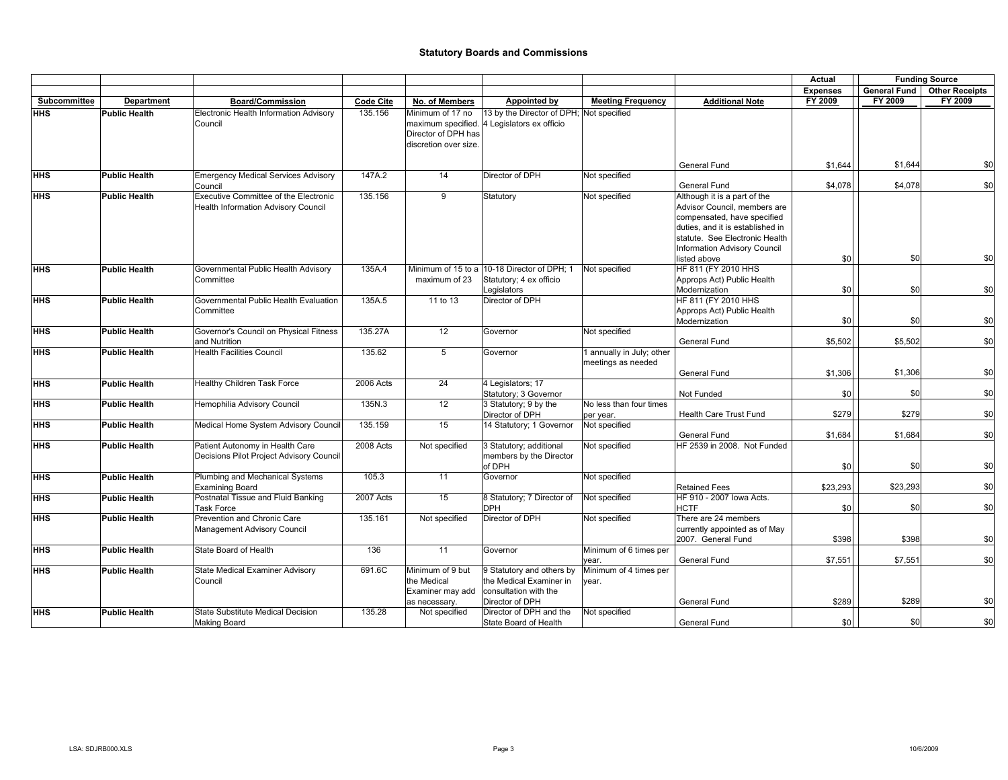|              |                      |                                                                              |                  |                                                                     |                                                                                                  |                                                 |                                                                                                                                                                                                                          | Actual          | <b>Funding Source</b> |                       |
|--------------|----------------------|------------------------------------------------------------------------------|------------------|---------------------------------------------------------------------|--------------------------------------------------------------------------------------------------|-------------------------------------------------|--------------------------------------------------------------------------------------------------------------------------------------------------------------------------------------------------------------------------|-----------------|-----------------------|-----------------------|
|              |                      |                                                                              |                  |                                                                     |                                                                                                  |                                                 |                                                                                                                                                                                                                          | <b>Expenses</b> | <b>General Fund</b>   | <b>Other Receipts</b> |
| Subcommittee | <b>Department</b>    | <b>Board/Commission</b>                                                      | <b>Code Cite</b> | No. of Members                                                      | Appointed by                                                                                     | <b>Meeting Frequency</b>                        | <b>Additional Note</b>                                                                                                                                                                                                   | FY 2009         | FY 2009               | FY 2009               |
| <b>HHS</b>   | <b>Public Health</b> | Electronic Health Information Advisory<br>Council                            | 135.156          | Minimum of 17 no<br>Director of DPH has<br>discretion over size.    | 13 by the Director of DPH; Not specified<br>maximum specified. 4 Legislators ex officio          |                                                 |                                                                                                                                                                                                                          |                 |                       |                       |
|              |                      |                                                                              |                  |                                                                     |                                                                                                  |                                                 | General Fund                                                                                                                                                                                                             | \$1,644         | \$1,644               | \$0                   |
| <b>HHS</b>   | <b>Public Health</b> | <b>Emergency Medical Services Advisory</b><br>Council                        | 147A.2           | 14                                                                  | Director of DPH                                                                                  | Not specified                                   | General Fund                                                                                                                                                                                                             | \$4,078         | \$4,078               | \$0                   |
| <b>HHS</b>   | <b>Public Health</b> | Executive Committee of the Electronic<br>Health Information Advisory Council | 135.156          | 9                                                                   | Statutory                                                                                        | Not specified                                   | Although it is a part of the<br>Advisor Council, members are<br>compensated, have specified<br>duties, and it is established in<br>statute. See Electronic Health<br><b>Information Advisory Council</b><br>listed above | \$0             | \$0                   | \$0                   |
| <b>HHS</b>   | <b>Public Health</b> | Governmental Public Health Advisory<br>Committee                             | 135A.4           | maximum of 23                                                       | Minimum of 15 to a 10-18 Director of DPH; 1<br>Statutory; 4 ex officio<br>Legislators            | Not specified                                   | HF 811 (FY 2010 HHS<br>Approps Act) Public Health<br>Modernization                                                                                                                                                       | \$0             | \$0                   | \$0                   |
| <b>HHS</b>   | <b>Public Health</b> | Governmental Public Health Evaluation<br>Committee                           | 135A.5           | 11 to 13                                                            | Director of DPH                                                                                  |                                                 | HF 811 (FY 2010 HHS<br>Approps Act) Public Health<br>Modernization                                                                                                                                                       | \$0             | \$0                   | \$0                   |
| HHS          | <b>Public Health</b> | Governor's Council on Physical Fitness<br>and Nutrition                      | 135.27A          | 12                                                                  | Governor                                                                                         | Not specified                                   | <b>General Fund</b>                                                                                                                                                                                                      | \$5,502         | \$5.502               | \$0                   |
| <b>HHS</b>   | <b>Public Health</b> | <b>Health Facilities Council</b>                                             | 135.62           | 5                                                                   | Governor                                                                                         | 1 annually in July; other<br>meetings as needed | General Fund                                                                                                                                                                                                             | \$1,306         | \$1,306               | \$0                   |
| <b>HHS</b>   | <b>Public Health</b> | Healthy Children Task Force                                                  | 2006 Acts        | 24                                                                  | 4 Legislators; 17<br>Statutory; 3 Governor                                                       |                                                 | Not Funded                                                                                                                                                                                                               | \$0             | \$0                   | \$0                   |
| <b>HHS</b>   | <b>Public Health</b> | Hemophilia Advisory Council                                                  | 135N.3           | 12                                                                  | 3 Statutory; 9 by the<br>Director of DPH                                                         | No less than four times<br>per year.            | Health Care Trust Fund                                                                                                                                                                                                   | \$279           | \$279                 | \$0                   |
| <b>HHS</b>   | <b>Public Health</b> | Medical Home System Advisory Council                                         | 135.159          | 15                                                                  | 14 Statutory; 1 Governor                                                                         | Not specified                                   | General Fund                                                                                                                                                                                                             | \$1,684         | \$1,684               | \$0                   |
| <b>HHS</b>   | <b>Public Health</b> | Patient Autonomy in Health Care<br>Decisions Pilot Project Advisory Council  | 2008 Acts        | Not specified                                                       | 3 Statutory; additional<br>members by the Director<br>of DPH                                     | Not specified                                   | HF 2539 in 2008. Not Funded                                                                                                                                                                                              | \$0             | \$0                   | \$0                   |
| <b>HHS</b>   | <b>Public Health</b> | Plumbing and Mechanical Systems<br><b>Examining Board</b>                    | 105.3            | 11                                                                  | Governor                                                                                         | Not specified                                   | <b>Retained Fees</b>                                                                                                                                                                                                     | \$23,293        | \$23,293              | \$0                   |
| <b>HHS</b>   | <b>Public Health</b> | Postnatal Tissue and Fluid Banking<br><b>Task Force</b>                      | 2007 Acts        | 15                                                                  | 8 Statutory; 7 Director of<br><b>DPH</b>                                                         | Not specified                                   | HF 910 - 2007 lowa Acts.<br><b>HCTF</b>                                                                                                                                                                                  | \$0             | \$0                   | \$0                   |
| <b>HHS</b>   | <b>Public Health</b> | Prevention and Chronic Care<br>Management Advisory Council                   | 135.161          | Not specified                                                       | Director of DPH                                                                                  | Not specified                                   | There are 24 members<br>currently appointed as of May<br>2007. General Fund                                                                                                                                              | \$398           | \$398                 | \$0                   |
| HHS          | <b>Public Health</b> | State Board of Health                                                        | 136              | 11                                                                  | Governor                                                                                         | Minimum of 6 times per<br>vear.                 | General Fund                                                                                                                                                                                                             | \$7,551         | \$7,551               | \$0                   |
| <b>HHS</b>   | <b>Public Health</b> | <b>State Medical Examiner Advisory</b><br>Council                            | 691.6C           | Minimum of 9 but<br>the Medical<br>Examiner may add<br>as necessary | 9 Statutory and others by<br>the Medical Examiner in<br>consultation with the<br>Director of DPH | Minimum of 4 times per<br>year.                 | General Fund                                                                                                                                                                                                             | \$289           | \$289                 | \$0                   |
| <b>HHS</b>   | <b>Public Health</b> | <b>State Substitute Medical Decision</b><br><b>Making Board</b>              | 135.28           | Not specified                                                       | Director of DPH and the<br>State Board of Health                                                 | Not specified                                   | General Fund                                                                                                                                                                                                             | \$0             | \$0                   | \$0                   |